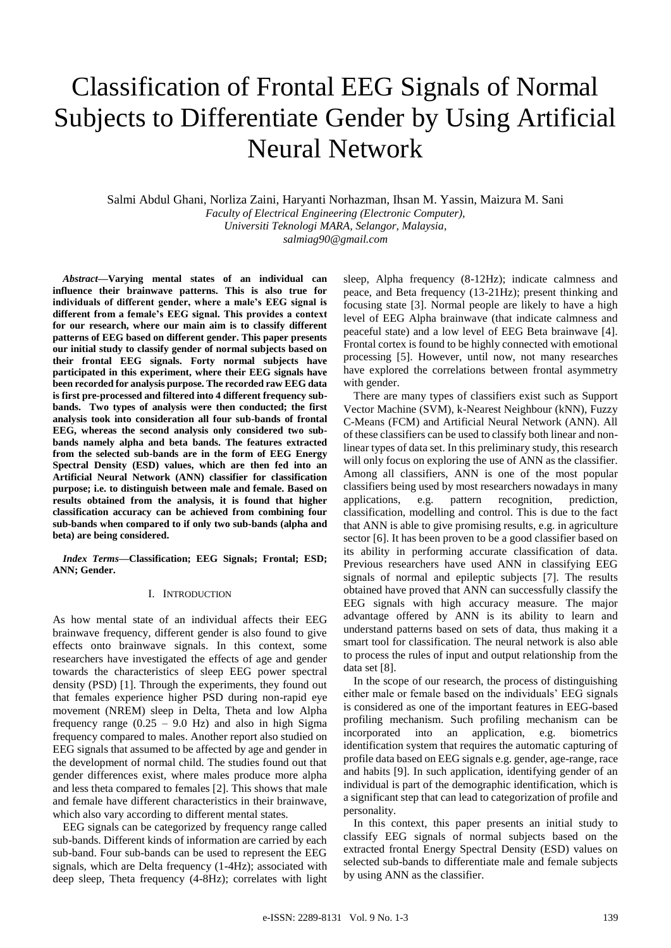# Classification of Frontal EEG Signals of Normal Subjects to Differentiate Gender by Using Artificial Neural Network

Salmi Abdul Ghani, Norliza Zaini, Haryanti Norhazman, Ihsan M. Yassin, Maizura M. Sani *Faculty of Electrical Engineering (Electronic Computer), Universiti Teknologi MARA, Selangor, Malaysia, salmiag90@gmail.com*

*Abstract***—Varying mental states of an individual can influence their brainwave patterns. This is also true for individuals of different gender, where a male's EEG signal is different from a female's EEG signal. This provides a context for our research, where our main aim is to classify different patterns of EEG based on different gender. This paper presents our initial study to classify gender of normal subjects based on their frontal EEG signals. Forty normal subjects have participated in this experiment, where their EEG signals have been recorded for analysis purpose. The recorded raw EEG data is first pre-processed and filtered into 4 different frequency subbands. Two types of analysis were then conducted; the first analysis took into consideration all four sub-bands of frontal EEG, whereas the second analysis only considered two subbands namely alpha and beta bands. The features extracted from the selected sub-bands are in the form of EEG Energy Spectral Density (ESD) values, which are then fed into an Artificial Neural Network (ANN) classifier for classification purpose; i.e. to distinguish between male and female. Based on results obtained from the analysis, it is found that higher classification accuracy can be achieved from combining four sub-bands when compared to if only two sub-bands (alpha and beta) are being considered.**

*Index Terms***—Classification; EEG Signals; Frontal; ESD; ANN; Gender.**

# I. INTRODUCTION

As how mental state of an individual affects their EEG brainwave frequency, different gender is also found to give effects onto brainwave signals. In this context, some researchers have investigated the effects of age and gender towards the characteristics of sleep EEG power spectral density (PSD) [1]. Through the experiments, they found out that females experience higher PSD during non-rapid eye movement (NREM) sleep in Delta, Theta and low Alpha frequency range  $(0.25 - 9.0 \text{ Hz})$  and also in high Sigma frequency compared to males. Another report also studied on EEG signals that assumed to be affected by age and gender in the development of normal child. The studies found out that gender differences exist, where males produce more alpha and less theta compared to females [2]. This shows that male and female have different characteristics in their brainwave, which also vary according to different mental states.

EEG signals can be categorized by frequency range called sub-bands. Different kinds of information are carried by each sub-band. Four sub-bands can be used to represent the EEG signals, which are Delta frequency (1-4Hz); associated with deep sleep, Theta frequency (4-8Hz); correlates with light sleep, Alpha frequency (8-12Hz); indicate calmness and peace, and Beta frequency (13-21Hz); present thinking and focusing state [3]. Normal people are likely to have a high level of EEG Alpha brainwave (that indicate calmness and peaceful state) and a low level of EEG Beta brainwave [4]. Frontal cortex is found to be highly connected with emotional processing [5]. However, until now, not many researches have explored the correlations between frontal asymmetry with gender.

There are many types of classifiers exist such as Support Vector Machine (SVM), k-Nearest Neighbour (kNN), Fuzzy C-Means (FCM) and Artificial Neural Network (ANN). All of these classifiers can be used to classify both linear and nonlinear types of data set. In this preliminary study, this research will only focus on exploring the use of ANN as the classifier. Among all classifiers, ANN is one of the most popular classifiers being used by most researchers nowadays in many applications, e.g. pattern recognition, prediction, classification, modelling and control. This is due to the fact that ANN is able to give promising results, e.g. in agriculture sector [6]. It has been proven to be a good classifier based on its ability in performing accurate classification of data. Previous researchers have used ANN in classifying EEG signals of normal and epileptic subjects [7]. The results obtained have proved that ANN can successfully classify the EEG signals with high accuracy measure. The major advantage offered by ANN is its ability to learn and understand patterns based on sets of data, thus making it a smart tool for classification. The neural network is also able to process the rules of input and output relationship from the data set [8].

In the scope of our research, the process of distinguishing either male or female based on the individuals' EEG signals is considered as one of the important features in EEG-based profiling mechanism. Such profiling mechanism can be incorporated into an application, e.g. biometrics identification system that requires the automatic capturing of profile data based on EEG signals e.g. gender, age-range, race and habits [9]. In such application, identifying gender of an individual is part of the demographic identification, which is a significant step that can lead to categorization of profile and personality.

In this context, this paper presents an initial study to classify EEG signals of normal subjects based on the extracted frontal Energy Spectral Density (ESD) values on selected sub-bands to differentiate male and female subjects by using ANN as the classifier.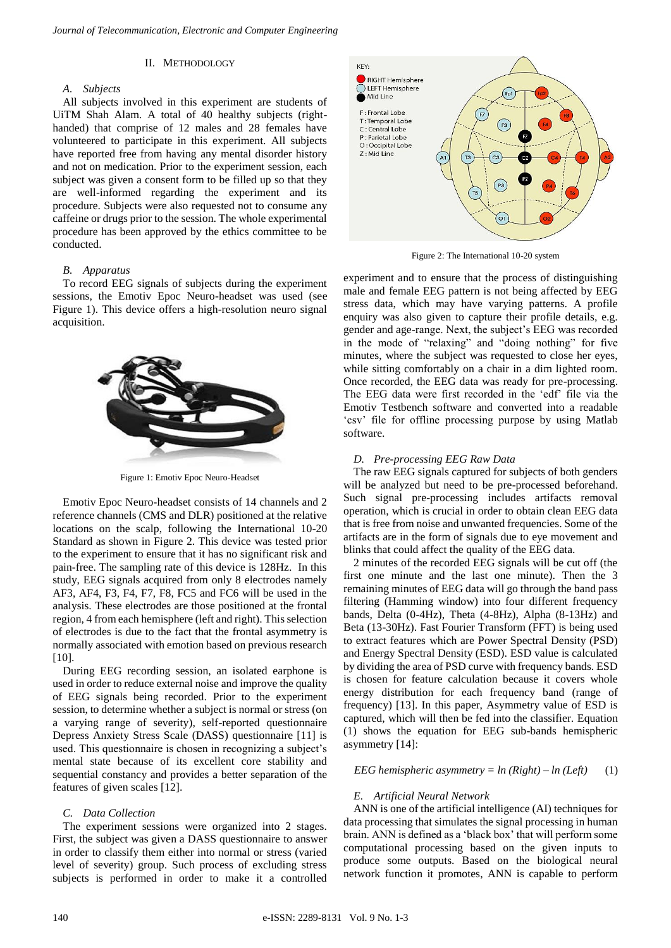#### II. METHODOLOGY

#### *A. Subjects*

All subjects involved in this experiment are students of UiTM Shah Alam. A total of 40 healthy subjects (righthanded) that comprise of 12 males and 28 females have volunteered to participate in this experiment. All subjects have reported free from having any mental disorder history and not on medication. Prior to the experiment session, each subject was given a consent form to be filled up so that they are well-informed regarding the experiment and its procedure. Subjects were also requested not to consume any caffeine or drugs prior to the session. The whole experimental procedure has been approved by the ethics committee to be conducted.

# *B. Apparatus*

To record EEG signals of subjects during the experiment sessions, the Emotiv Epoc Neuro-headset was used (see Figure 1). This device offers a high-resolution neuro signal acquisition.



Figure 1: Emotiv Epoc Neuro-Headset

Emotiv Epoc Neuro-headset consists of 14 channels and 2 reference channels (CMS and DLR) positioned at the relative locations on the scalp, following the International 10-20 Standard as shown in Figure 2. This device was tested prior to the experiment to ensure that it has no significant risk and pain-free. The sampling rate of this device is 128Hz. In this study, EEG signals acquired from only 8 electrodes namely AF3, AF4, F3, F4, F7, F8, FC5 and FC6 will be used in the analysis. These electrodes are those positioned at the frontal region, 4 from each hemisphere (left and right). This selection of electrodes is due to the fact that the frontal asymmetry is normally associated with emotion based on previous research [10].

During EEG recording session, an isolated earphone is used in order to reduce external noise and improve the quality of EEG signals being recorded. Prior to the experiment session, to determine whether a subject is normal or stress (on a varying range of severity), self-reported questionnaire Depress Anxiety Stress Scale (DASS) questionnaire [11] is used. This questionnaire is chosen in recognizing a subject's mental state because of its excellent core stability and sequential constancy and provides a better separation of the features of given scales [12].

# *C. Data Collection*

The experiment sessions were organized into 2 stages. First, the subject was given a DASS questionnaire to answer in order to classify them either into normal or stress (varied level of severity) group. Such process of excluding stress subjects is performed in order to make it a controlled



Figure 2: The International 10-20 system

experiment and to ensure that the process of distinguishing male and female EEG pattern is not being affected by EEG stress data, which may have varying patterns. A profile enquiry was also given to capture their profile details, e.g. gender and age-range. Next, the subject's EEG was recorded in the mode of "relaxing" and "doing nothing" for five minutes, where the subject was requested to close her eyes, while sitting comfortably on a chair in a dim lighted room. Once recorded, the EEG data was ready for pre-processing. The EEG data were first recorded in the 'edf' file via the Emotiv Testbench software and converted into a readable 'csv' file for offline processing purpose by using Matlab software.

#### *D. Pre-processing EEG Raw Data*

The raw EEG signals captured for subjects of both genders will be analyzed but need to be pre-processed beforehand. Such signal pre-processing includes artifacts removal operation, which is crucial in order to obtain clean EEG data that is free from noise and unwanted frequencies. Some of the artifacts are in the form of signals due to eye movement and blinks that could affect the quality of the EEG data.

2 minutes of the recorded EEG signals will be cut off (the first one minute and the last one minute). Then the 3 remaining minutes of EEG data will go through the band pass filtering (Hamming window) into four different frequency bands, Delta (0-4Hz), Theta (4-8Hz), Alpha (8-13Hz) and Beta (13-30Hz). Fast Fourier Transform (FFT) is being used to extract features which are Power Spectral Density (PSD) and Energy Spectral Density (ESD). ESD value is calculated by dividing the area of PSD curve with frequency bands. ESD is chosen for feature calculation because it covers whole energy distribution for each frequency band (range of frequency) [13]. In this paper, Asymmetry value of ESD is captured, which will then be fed into the classifier. Equation (1) shows the equation for EEG sub-bands hemispheric asymmetry [14]:

## *EEG hemispheric asymmetry =*  $ln(Right) - ln(Left)$  (1)

# *E. Artificial Neural Network*

ANN is one of the artificial intelligence (AI) techniques for data processing that simulates the signal processing in human brain. ANN is defined as a 'black box' that will perform some computational processing based on the given inputs to produce some outputs. Based on the biological neural network function it promotes, ANN is capable to perform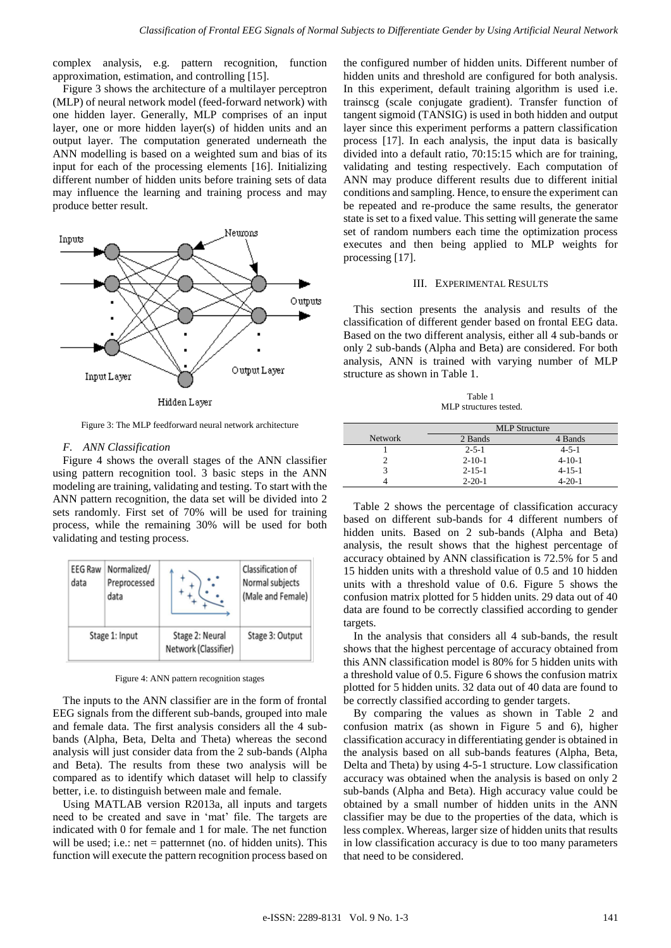complex analysis, e.g. pattern recognition, function approximation, estimation, and controlling [15].

Figure 3 shows the architecture of a multilayer perceptron (MLP) of neural network model (feed-forward network) with one hidden layer. Generally, MLP comprises of an input layer, one or more hidden layer(s) of hidden units and an output layer. The computation generated underneath the ANN modelling is based on a weighted sum and bias of its input for each of the processing elements [16]. Initializing different number of hidden units before training sets of data may influence the learning and training process and may produce better result.



Figure 3: The MLP feedforward neural network architecture

#### *F. ANN Classification*

Figure 4 shows the overall stages of the ANN classifier using pattern recognition tool. 3 basic steps in the ANN modeling are training, validating and testing. To start with the ANN pattern recognition, the data set will be divided into 2 sets randomly. First set of 70% will be used for training process, while the remaining 30% will be used for both validating and testing process.



Figure 4: ANN pattern recognition stages

The inputs to the ANN classifier are in the form of frontal EEG signals from the different sub-bands, grouped into male and female data. The first analysis considers all the 4 subbands (Alpha, Beta, Delta and Theta) whereas the second analysis will just consider data from the 2 sub-bands (Alpha and Beta). The results from these two analysis will be compared as to identify which dataset will help to classify better, i.e. to distinguish between male and female.

Using MATLAB version R2013a, all inputs and targets need to be created and save in 'mat' file. The targets are indicated with 0 for female and 1 for male. The net function will be used; i.e.: net = patternnet (no. of hidden units). This function will execute the pattern recognition process based on

the configured number of hidden units. Different number of hidden units and threshold are configured for both analysis. In this experiment, default training algorithm is used i.e. trainscg (scale conjugate gradient). Transfer function of tangent sigmoid (TANSIG) is used in both hidden and output layer since this experiment performs a pattern classification process [17]. In each analysis, the input data is basically divided into a default ratio, 70:15:15 which are for training, validating and testing respectively. Each computation of ANN may produce different results due to different initial conditions and sampling. Hence, to ensure the experiment can be repeated and re-produce the same results, the generator state is set to a fixed value. This setting will generate the same set of random numbers each time the optimization process executes and then being applied to MLP weights for processing [17].

## III. EXPERIMENTAL RESULTS

This section presents the analysis and results of the classification of different gender based on frontal EEG data. Based on the two different analysis, either all 4 sub-bands or only 2 sub-bands (Alpha and Beta) are considered. For both analysis, ANN is trained with varying number of MLP structure as shown in Table 1.

Table 1 MLP structures tested.

|                | <b>MLP</b> Structure |              |  |  |
|----------------|----------------------|--------------|--|--|
| <b>Network</b> | 2 Bands              | 4 Bands      |  |  |
|                | $2 - 5 - 1$          | $4 - 5 - 1$  |  |  |
|                | $2 - 10 - 1$         | $4 - 10 - 1$ |  |  |
|                | $2 - 15 - 1$         | $4 - 15 - 1$ |  |  |
|                | $2 - 20 - 1$         | $4 - 20 - 1$ |  |  |

Table 2 shows the percentage of classification accuracy based on different sub-bands for 4 different numbers of hidden units. Based on 2 sub-bands (Alpha and Beta) analysis, the result shows that the highest percentage of accuracy obtained by ANN classification is 72.5% for 5 and 15 hidden units with a threshold value of 0.5 and 10 hidden units with a threshold value of 0.6. Figure 5 shows the confusion matrix plotted for 5 hidden units. 29 data out of 40 data are found to be correctly classified according to gender targets.

In the analysis that considers all 4 sub-bands, the result shows that the highest percentage of accuracy obtained from this ANN classification model is 80% for 5 hidden units with a threshold value of 0.5. Figure 6 shows the confusion matrix plotted for 5 hidden units. 32 data out of 40 data are found to be correctly classified according to gender targets.

By comparing the values as shown in Table 2 and confusion matrix (as shown in Figure 5 and 6), higher classification accuracy in differentiating gender is obtained in the analysis based on all sub-bands features (Alpha, Beta, Delta and Theta) by using 4-5-1 structure. Low classification accuracy was obtained when the analysis is based on only 2 sub-bands (Alpha and Beta). High accuracy value could be obtained by a small number of hidden units in the ANN classifier may be due to the properties of the data, which is less complex. Whereas, larger size of hidden units that results in low classification accuracy is due to too many parameters that need to be considered.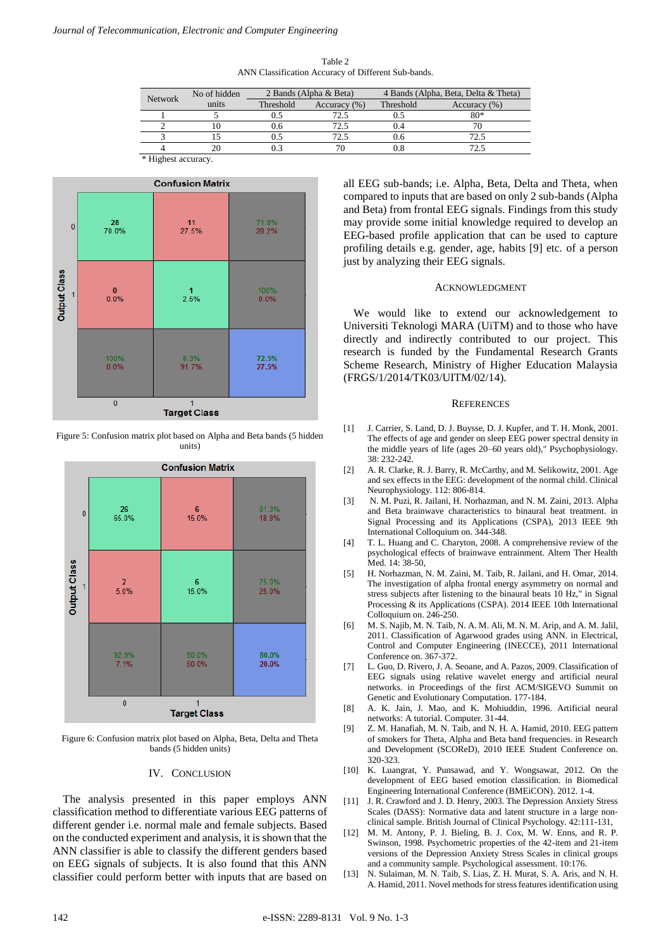Table 2 ANN Classification Accuracy of Different Sub-bands.

| Network             | No of hidden | 2 Bands (Alpha & Beta) |                  | 4 Bands (Alpha, Beta, Delta & Theta) |                  |
|---------------------|--------------|------------------------|------------------|--------------------------------------|------------------|
|                     | units        | Threshold              | Accuracy $(\% )$ | Threshold                            | Accuracy $(\% )$ |
|                     |              |                        | 72.5             |                                      | 80*              |
|                     |              | 0.6                    | 72.5             |                                      |                  |
|                     |              |                        | 72 5             | 0.6                                  | 72.5             |
|                     |              |                        | 76               |                                      | 72.5             |
| * Highest accuracy. |              |                        |                  |                                      |                  |



Figure 5: Confusion matrix plot based on Alpha and Beta bands (5 hidden units)



Figure 6: Confusion matrix plot based on Alpha, Beta, Delta and Theta bands (5 hidden units)

## IV. CONCLUSION

The analysis presented in this paper employs ANN classification method to differentiate various EEG patterns of different gender i.e. normal male and female subjects. Based on the conducted experiment and analysis, it is shown that the ANN classifier is able to classify the different genders based on EEG signals of subjects. It is also found that this ANN classifier could perform better with inputs that are based on

all EEG sub-bands; i.e. Alpha, Beta, Delta and Theta, when compared to inputs that are based on only 2 sub-bands (Alpha and Beta) from frontal EEG signals. Findings from this study may provide some initial knowledge required to develop an EEG-based profile application that can be used to capture profiling details e.g. gender, age, habits [9] etc. of a person just by analyzing their EEG signals.

#### ACKNOWLEDGMENT

We would like to extend our acknowledgement to Universiti Teknologi MARA (UiTM) and to those who have directly and indirectly contributed to our project. This research is funded by the Fundamental Research Grants Scheme Research, Ministry of Higher Education Malaysia (FRGS/1/2014/TK03/UITM/02/14).

#### **REFERENCES**

- [1] J. Carrier, S. Land, D. J. Buysse, D. J. Kupfer, and T. H. Monk, 2001. The effects of age and gender on sleep EEG power spectral density in the middle years of life (ages 20–60 years old)," Psychophysiology. 38: 232-242.
- [2] A. R. Clarke, R. J. Barry, R. McCarthy, and M. Selikowitz, 2001. Age and sex effects in the EEG: development of the normal child. Clinical Neurophysiology. 112: 806-814.
- [3] N. M. Puzi, R. Jailani, H. Norhazman, and N. M. Zaini, 2013. Alpha and Beta brainwave characteristics to binaural beat treatment. in Signal Processing and its Applications (CSPA), 2013 IEEE 9th International Colloquium on. 344-348.
- [4] T. L. Huang and C. Charyton, 2008. A comprehensive review of the psychological effects of brainwave entrainment. Altern Ther Health Med. 14: 38-50,
- [5] H. Norhazman, N. M. Zaini, M. Taib, R. Jailani, and H. Omar, 2014. The investigation of alpha frontal energy asymmetry on normal and stress subjects after listening to the binaural beats 10 Hz," in Signal Processing & its Applications (CSPA). 2014 IEEE 10th International Colloquium on. 246-250.
- [6] M. S. Najib, M. N. Taib, N. A. M. Ali, M. N. M. Arip, and A. M. Jalil, 2011. Classification of Agarwood grades using ANN. in Electrical, Control and Computer Engineering (INECCE), 2011 International Conference on. 367-372.
- [7] L. Guo, D. Rivero, J. A. Seoane, and A. Pazos, 2009. Classification of EEG signals using relative wavelet energy and artificial neural networks. in Proceedings of the first ACM/SIGEVO Summit on Genetic and Evolutionary Computation. 177-184.
- [8] A. K. Jain, J. Mao, and K. Mohiuddin, 1996. Artificial neural networks: A tutorial. Computer. 31-44.
- [9] Z. M. Hanafiah, M. N. Taib, and N. H. A. Hamid, 2010. EEG pattern of smokers for Theta, Alpha and Beta band frequencies. in Research and Development (SCOReD), 2010 IEEE Student Conference on. 320-323.
- [10] K. Luangrat, Y. Punsawad, and Y. Wongsawat, 2012. On the development of EEG based emotion classification. in Biomedical Engineering International Conference (BMEiCON). 2012. 1-4.
- [11] J. R. Crawford and J. D. Henry, 2003. The Depression Anxiety Stress Scales (DASS): Normative data and latent structure in a large nonclinical sample. British Journal of Clinical Psychology. 42:111-131,
- [12] M. M. Antony, P. J. Bieling, B. J. Cox, M. W. Enns, and R. P. Swinson, 1998. Psychometric properties of the 42-item and 21-item versions of the Depression Anxiety Stress Scales in clinical groups and a community sample. Psychological assessment. 10:176.
- [13] N. Sulaiman, M. N. Taib, S. Lias, Z. H. Murat, S. A. Aris, and N. H. A. Hamid, 2011. Novel methods for stress features identification using